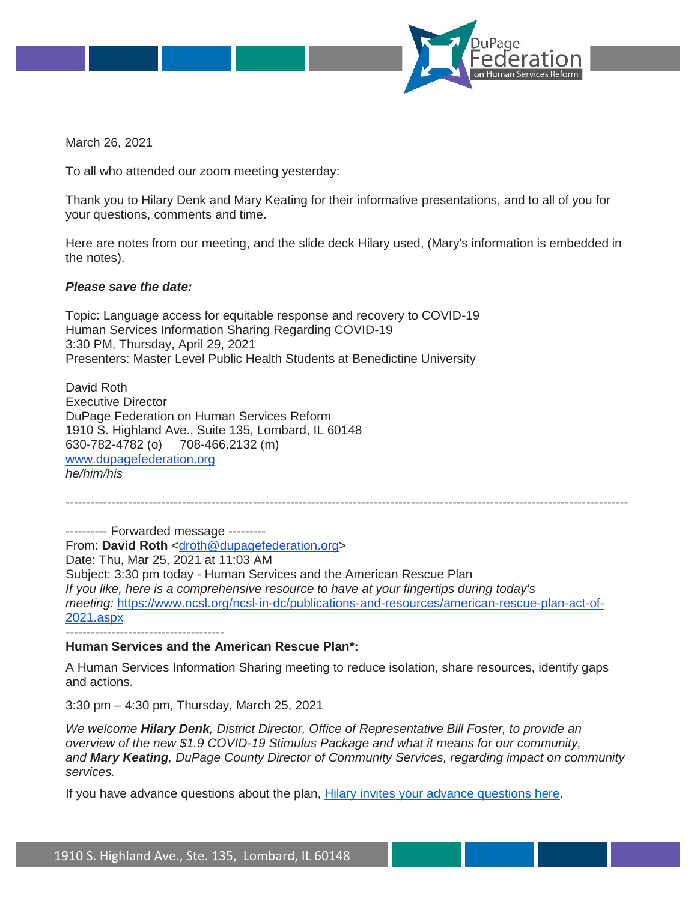

March 26, 2021

To all who attended our zoom meeting yesterday:

Thank you to Hilary Denk and Mary Keating for their informative presentations, and to all of you for your questions, comments and time.

Here are notes from our meeting, and the slide deck Hilary used, (Mary's information is embedded in the notes).

## *Please save the date:*

Topic: Language access for equitable response and recovery to COVID-19 Human Services Information Sharing Regarding COVID-19 3:30 PM, Thursday, April 29, 2021 Presenters: Master Level Public Health Students at Benedictine University

David Roth Executive Director DuPage Federation on Human Services Reform 1910 S. Highland Ave., Suite 135, Lombard, IL 60148 630-782-4782 (o) 708-466.2132 (m) [www.dupagefederation.org](http://www.dupagefederation.org/) *he/him/his*

---------------------------------------------------------------------------------------------------------------------------------------

---------- Forwarded message --------- From: David Roth [<droth@dupagefederation.org>](mailto:droth@dupagefederation.org) Date: Thu, Mar 25, 2021 at 11:03 AM Subject: 3:30 pm today - Human Services and the American Rescue Plan *If you like, here is a comprehensive resource to have at your fingertips during today's meeting:* [https://www.ncsl.org/ncsl-in-dc/publications-and-resources/american-rescue-plan-act-of-](https://www.ncsl.org/ncsl-in-dc/publications-and-resources/american-rescue-plan-act-of-2021.aspx)[2021.aspx](https://www.ncsl.org/ncsl-in-dc/publications-and-resources/american-rescue-plan-act-of-2021.aspx)  *--------------------------------------*

## **Human Services and the American Rescue Plan\*:**

A Human Services Information Sharing meeting to reduce isolation, share resources, identify gaps and actions.

3:30 pm – 4:30 pm, Thursday, March 25, 2021

*We welcome Hilary Denk, District Director, Office of Representative Bill Foster, to provide an overview of the new \$1.9 COVID-19 Stimulus Package and what it means for our community, and Mary Keating, DuPage County Director of Community Services, regarding impact on community services.*

If you have advance questions about the plan, [Hilary invites your advance questions here.](https://docs.google.com/document/d/1wYLYdQ3hiNiJAZQyYtRNqfrZ1BQgVXGpEfiCo9smXP4/edit?usp=sharing)